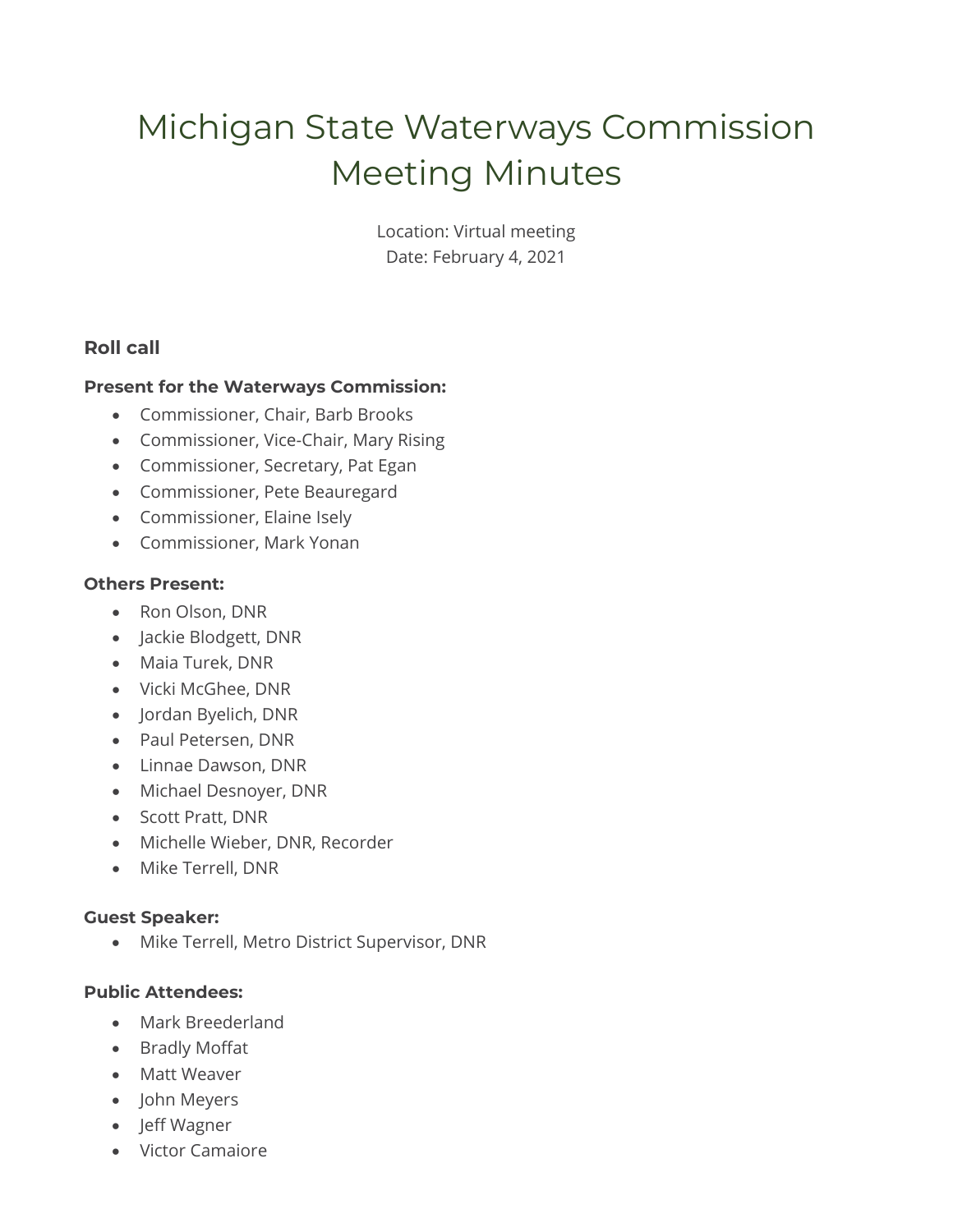# Michigan State Waterways Commission Meeting Minutes

Location: Virtual meeting Date: February 4, 2021

## **Roll call**

#### **Present for the Waterways Commission:**

- Commissioner, Chair, Barb Brooks
- Commissioner, Vice-Chair, Mary Rising
- Commissioner, Secretary, Pat Egan
- Commissioner, Pete Beauregard
- Commissioner, Elaine Isely
- Commissioner, Mark Yonan

#### **Others Present:**

- Ron Olson, DNR
- Jackie Blodgett, DNR
- Maia Turek, DNR
- Vicki McGhee, DNR
- Jordan Byelich, DNR
- Paul Petersen, DNR
- Linnae Dawson, DNR
- Michael Desnoyer, DNR
- Scott Pratt, DNR
- Michelle Wieber, DNR, Recorder
- Mike Terrell, DNR

#### **Guest Speaker:**

• Mike Terrell, Metro District Supervisor, DNR

#### **Public Attendees:**

- Mark Breederland
- Bradly Moffat
- Matt Weaver
- John Meyers
- Jeff Wagner
- Victor Camaiore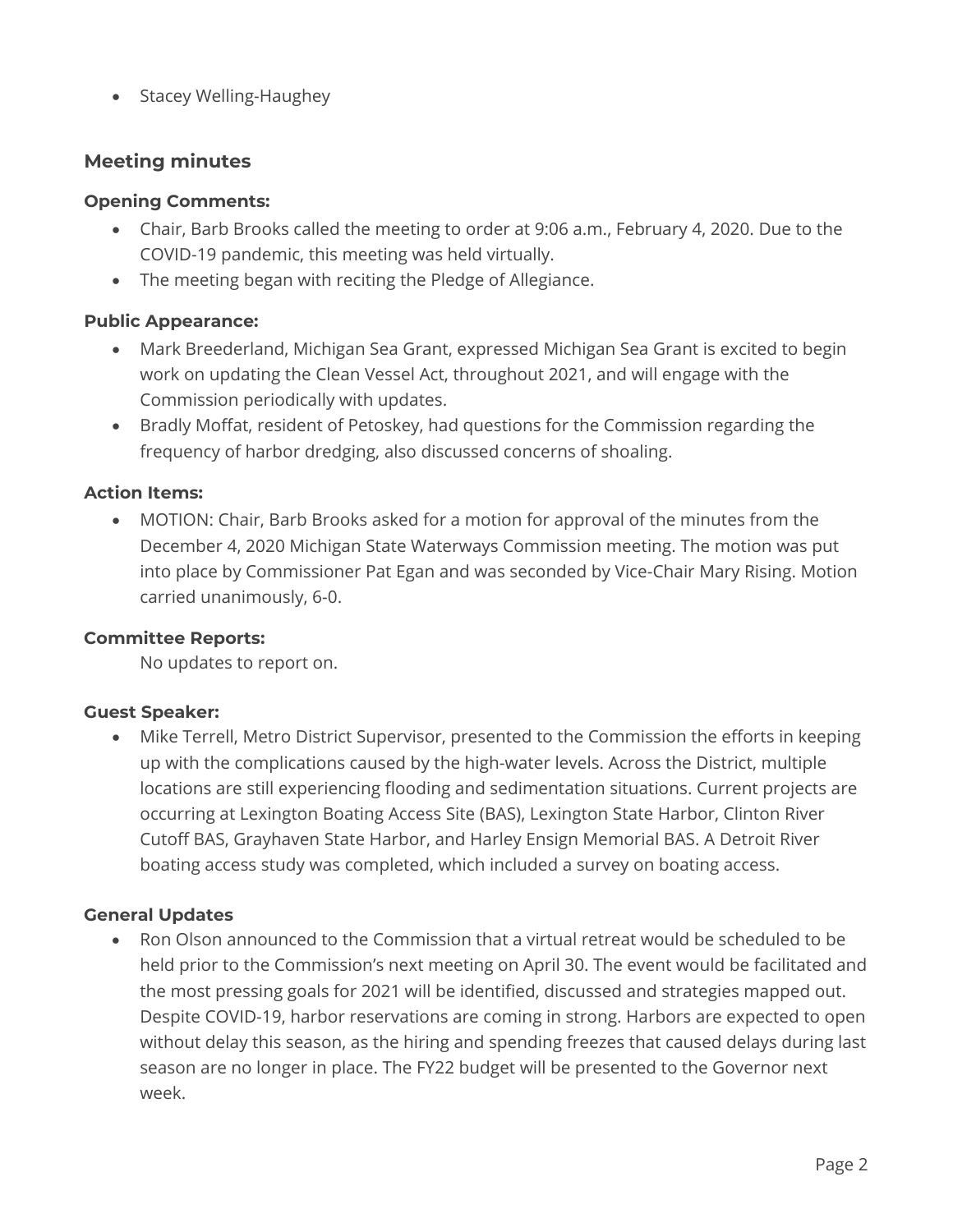• Stacey Welling-Haughey

## **Meeting minutes**

#### **Opening Comments:**

- Chair, Barb Brooks called the meeting to order at 9:06 a.m., February 4, 2020. Due to the COVID-19 pandemic, this meeting was held virtually.
- The meeting began with reciting the Pledge of Allegiance.

#### **Public Appearance:**

- Mark Breederland, Michigan Sea Grant, expressed Michigan Sea Grant is excited to begin work on updating the Clean Vessel Act, throughout 2021, and will engage with the Commission periodically with updates.
- Bradly Moffat, resident of Petoskey, had questions for the Commission regarding the frequency of harbor dredging, also discussed concerns of shoaling.

#### **Action Items:**

• MOTION: Chair, Barb Brooks asked for a motion for approval of the minutes from the December 4, 2020 Michigan State Waterways Commission meeting. The motion was put into place by Commissioner Pat Egan and was seconded by Vice-Chair Mary Rising. Motion carried unanimously, 6-0.

#### **Committee Reports:**

No updates to report on.

#### **Guest Speaker:**

• Mike Terrell, Metro District Supervisor, presented to the Commission the efforts in keeping up with the complications caused by the high-water levels. Across the District, multiple locations are still experiencing flooding and sedimentation situations. Current projects are occurring at Lexington Boating Access Site (BAS), Lexington State Harbor, Clinton River Cutoff BAS, Grayhaven State Harbor, and Harley Ensign Memorial BAS. A Detroit River boating access study was completed, which included a survey on boating access.

#### **General Updates**

• Ron Olson announced to the Commission that a virtual retreat would be scheduled to be held prior to the Commission's next meeting on April 30. The event would be facilitated and the most pressing goals for 2021 will be identified, discussed and strategies mapped out. Despite COVID-19, harbor reservations are coming in strong. Harbors are expected to open without delay this season, as the hiring and spending freezes that caused delays during last season are no longer in place. The FY22 budget will be presented to the Governor next week.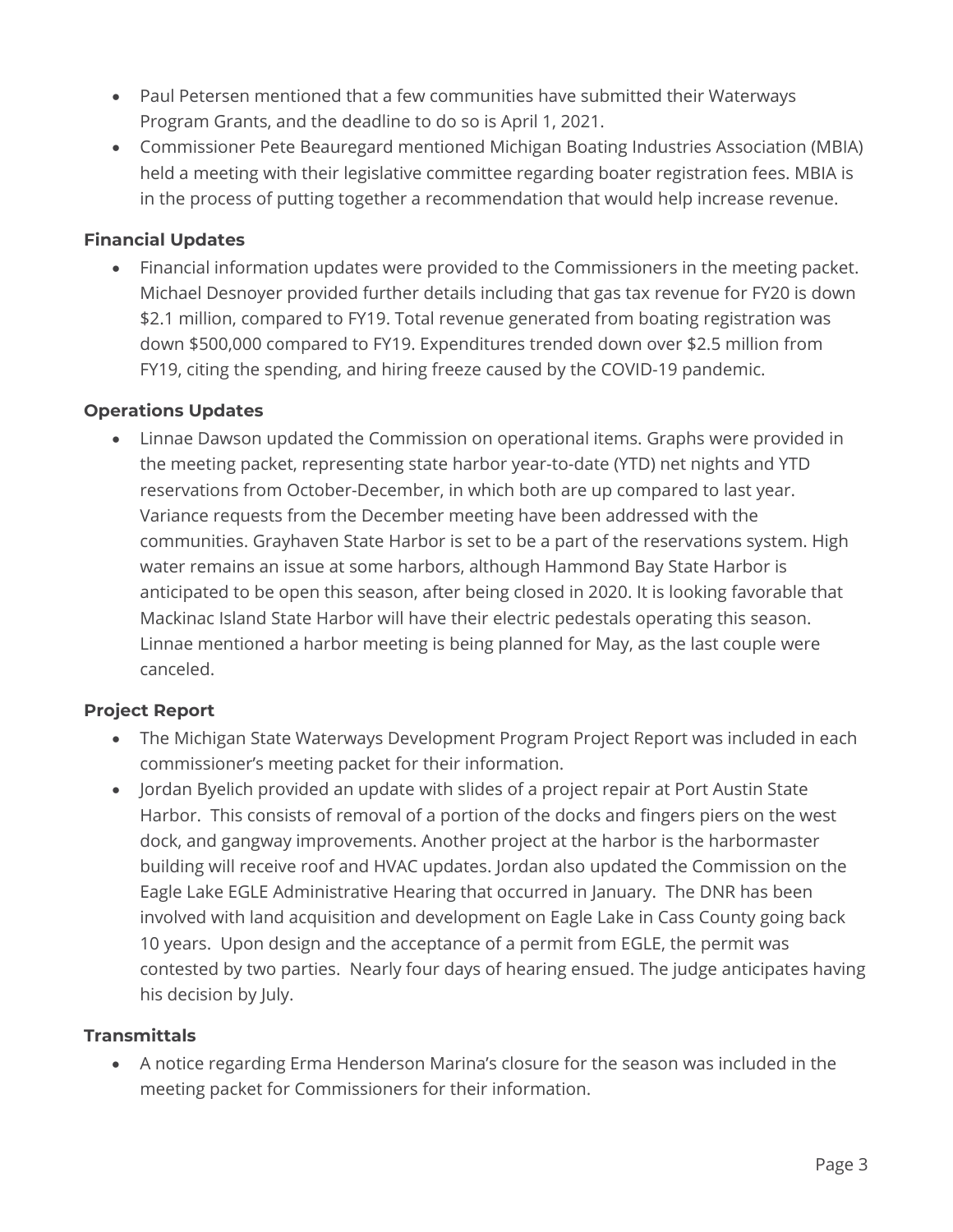- Paul Petersen mentioned that a few communities have submitted their Waterways Program Grants, and the deadline to do so is April 1, 2021.
- Commissioner Pete Beauregard mentioned Michigan Boating Industries Association (MBIA) held a meeting with their legislative committee regarding boater registration fees. MBIA is in the process of putting together a recommendation that would help increase revenue.

### **Financial Updates**

• Financial information updates were provided to the Commissioners in the meeting packet. Michael Desnoyer provided further details including that gas tax revenue for FY20 is down \$2.1 million, compared to FY19. Total revenue generated from boating registration was down \$500,000 compared to FY19. Expenditures trended down over \$2.5 million from FY19, citing the spending, and hiring freeze caused by the COVID-19 pandemic.

#### **Operations Updates**

• Linnae Dawson updated the Commission on operational items. Graphs were provided in the meeting packet, representing state harbor year-to-date (YTD) net nights and YTD reservations from October-December, in which both are up compared to last year. Variance requests from the December meeting have been addressed with the communities. Grayhaven State Harbor is set to be a part of the reservations system. High water remains an issue at some harbors, although Hammond Bay State Harbor is anticipated to be open this season, after being closed in 2020. It is looking favorable that Mackinac Island State Harbor will have their electric pedestals operating this season. Linnae mentioned a harbor meeting is being planned for May, as the last couple were canceled.

## **Project Report**

- The Michigan State Waterways Development Program Project Report was included in each commissioner's meeting packet for their information.
- Jordan Byelich provided an update with slides of a project repair at Port Austin State Harbor. This consists of removal of a portion of the docks and fingers piers on the west dock, and gangway improvements. Another project at the harbor is the harbormaster building will receive roof and HVAC updates. Jordan also updated the Commission on the Eagle Lake EGLE Administrative Hearing that occurred in January. The DNR has been involved with land acquisition and development on Eagle Lake in Cass County going back 10 years. Upon design and the acceptance of a permit from EGLE, the permit was contested by two parties. Nearly four days of hearing ensued. The judge anticipates having his decision by July.

## **Transmittals**

• A notice regarding Erma Henderson Marina's closure for the season was included in the meeting packet for Commissioners for their information.